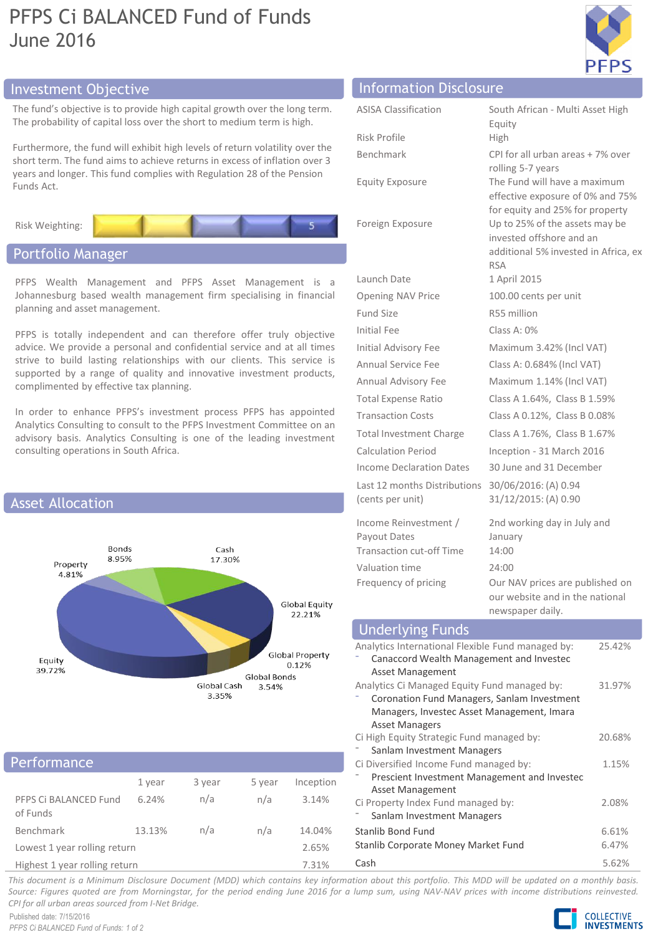# PFPS Ci BALANCED Fund of Funds June 2016



## Investment Objective Information Disclosure

The fund's objective is to provide high capital growth over the long term. The probability of capital loss over the short to medium term is high.

Furthermore, the fund will exhibit high levels of return volatility over the short term. The fund aims to achieve returns in excess of inflation over 3 years and longer. This fund complies with Regulation 28 of the Pension Funds Act.



## Portfolio Manager

PFPS Wealth Management and PFPS Asset Management is a Johannesburg based wealth management firm specialising in financial planning and asset management.

PFPS is totally independent and can therefore offer truly objective advice. We provide a personal and confidential service and at all times strive to build lasting relationships with our clients. This service is supported by a range of quality and innovative investment products, complimented by effective tax planning.

In order to enhance PFPS's investment process PFPS has appointed Analytics Consulting to consult to the PFPS Investment Committee on an advisory basis. Analytics Consulting is one of the leading investment consulting operations in South Africa.



### Performance

| .                                 |        |        |        |           |  |  |
|-----------------------------------|--------|--------|--------|-----------|--|--|
|                                   | 1 year | 3 year | 5 year | Inception |  |  |
| PFPS Ci BALANCED Fund<br>of Funds | 6.24%  | n/a    | n/a    | 3.14%     |  |  |
| Benchmark                         | 13.13% | n/a    | n/a    | 14.04%    |  |  |
| Lowest 1 year rolling return      |        |        |        | 2.65%     |  |  |
| Highest 1 year rolling return     |        |        | 7.31%  |           |  |  |

| 111011100101110130003010                         |                                                                                                                  |
|--------------------------------------------------|------------------------------------------------------------------------------------------------------------------|
| <b>ASISA Classification</b>                      | South African - Multi Asset High<br>Equity                                                                       |
| Risk Profile                                     | High                                                                                                             |
| <b>Benchmark</b>                                 | CPI for all urban areas + 7% over<br>rolling 5-7 years                                                           |
| <b>Equity Exposure</b>                           | The Fund will have a maximum<br>effective exposure of 0% and 75%<br>for equity and 25% for property              |
| Foreign Exposure                                 | Up to 25% of the assets may be<br>invested offshore and an<br>additional 5% invested in Africa, ex<br><b>RSA</b> |
| Launch Date                                      | 1 April 2015                                                                                                     |
| Opening NAV Price                                | 100.00 cents per unit                                                                                            |
| Fund Size                                        | R55 million                                                                                                      |
| Initial Fee                                      | Class A: 0%                                                                                                      |
| Initial Advisory Fee                             | Maximum 3.42% (Incl VAT)                                                                                         |
| Annual Service Fee                               | Class A: 0.684% (Incl VAT)                                                                                       |
| Annual Advisory Fee                              | Maximum 1.14% (Incl VAT)                                                                                         |
| <b>Total Expense Ratio</b>                       | Class A 1.64%, Class B 1.59%                                                                                     |
| <b>Transaction Costs</b>                         | Class A 0.12%, Class B 0.08%                                                                                     |
| <b>Total Investment Charge</b>                   | Class A 1.76%, Class B 1.67%                                                                                     |
| <b>Calculation Period</b>                        | Inception - 31 March 2016                                                                                        |
| Income Declaration Dates                         | 30 June and 31 December                                                                                          |
| Last 12 months Distributions<br>(cents per unit) | 30/06/2016: (A) 0.94<br>31/12/2015: (A) 0.90                                                                     |
| Income Reinvestment /                            | 2nd working day in July and                                                                                      |

Payout Dates January Transaction cut-off Time 14:00 Valuation time 24:00 Frequency of pricing Our NAV prices are published on our website and in the national newspaper daily.

## Underlying Funds

| Analytics International Flexible Fund managed by: | 25.42% |
|---------------------------------------------------|--------|
| Canaccord Wealth Management and Investec          |        |
| Asset Management                                  |        |
| Analytics Ci Managed Equity Fund managed by:      | 31.97% |
| Coronation Fund Managers, Sanlam Investment       |        |
| Managers, Investec Asset Management, Imara        |        |
| <b>Asset Managers</b>                             |        |
| Ci High Equity Strategic Fund managed by:         | 20.68% |
| Sanlam Investment Managers                        |        |
| Ci Diversified Income Fund managed by:            | 1.15%  |
| Prescient Investment Management and Investec      |        |
| Asset Management                                  |        |
| Ci Property Index Fund managed by:                | 2.08%  |
| Sanlam Investment Managers                        |        |
| Stanlib Bond Fund                                 | 6.61%  |
| Stanlib Corporate Money Market Fund               | 6.47%  |
| Cash                                              | 5.62%  |

This document is a Minimum Disclosure Document (MDD) which contains key information about this portfolio. This MDD will be updated on a monthly basis. Source: Figures quoted are from Morningstar, for the period ending June 2016 for a lump sum, using NAV-NAV prices with income distributions reinvested. *CPI for all urban areas sourced from I-Net Bridge.*

Published date: 7/15/2016 *PFPS Ci BALANCED Fund of Funds: 1 of 2*